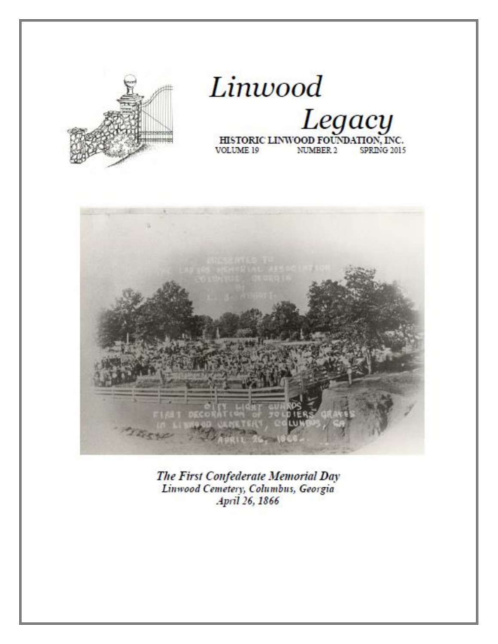





The First Confederate Memorial Day Linwood Cemetery, Columbus, Georgia April 26, 1866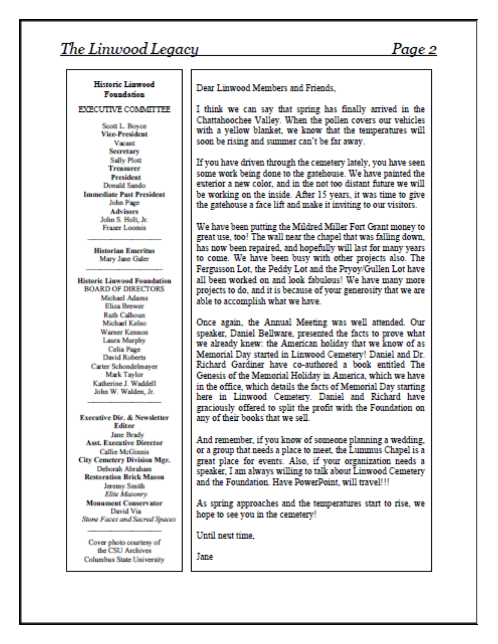## Page 2

#### Historic Linwood **Foundation**

**EXECUTIVE COMMITTEE** 

Scott L. Boyce **Vice-President** Vacant **Secretary Sally Plott Tresurer President** Dennid Sando **Immediate Past President** John Page **Advisors** John S. Holt, Jr. **Frazer Loomis** 

> **Historian Emeritus** Mary Jane Galer

**Historic Linwood Foundation BOARD OF DIRECTORS** Michael Adams **Eliza Brewer Rath Calhoun** Michael Kelso Warner Kennon Laura Murphy Celia Page David Roberts Carter Schondelmayer Mark Taylor Katherine J. Waddell John W. Walden, Jr.

Executive Dir. & Newsletter **Editor** Jane Brady **Asst. Executive Director** Callie McGinnis City Cemetery Division Mgr. Deborah Abraham **Restoration Brick Mason** Jeremy Smith **Elne Masonry Monument Conservator** David Via Stone Faces and Sacred Spaces

Cover photo courtesy of the CSU Archives **Columbus State University**  Dear Linwood Members and Friends.

I think we can say that spring has finally arrived in the Chattahoochee Valley. When the pollen covers our vehicles with a yellow blanket, we know that the temperatures will soon be rising and summer can't be far away.

If you have driven through the cemetery lately, you have seen some work being done to the gatehouse. We have painted the exterior a new color, and in the not too distant future we will be working on the inside. After 15 years, it was time to give the gatehouse a face lift and make it inviting to our visitors.

We have been putting the Mildred Miller Fort Grant money to great use, too! The wall near the chapel that was falling down, has now been repaired, and hopefully will last for many years to come. We have been busy with other projects also. The Fergusson Lot, the Peddy Lot and the Pryoy/Gullen Lot have all been worked on and look fabulous! We have many more projects to do, and it is because of your generosity that we are able to accomplish what we have.

Once again, the Annual Meeting was well attended. Our speaker, Daniel Bellware, presented the facts to prove what we already knew: the American holiday that we know of as Memorial Day started in Linwood Cemetery! Daniel and Dr. Richard Gardiner have co-authored a book entitled The Genesis of the Memorial Holiday in America, which we have in the office, which details the facts of Memorial Day starting here in Linwood Cemetery. Daniel and Richard have graciously offered to split the profit with the Foundation on any of their books that we sell.

And remember, if you know of someone planning a wedding, or a group that needs a place to meet, the Lummus Chapel is a great place for events. Also, if your organization needs a speaker, I am always willing to talk about Linwood Cemetery and the Foundation. Have PowerPoint, will travel!!!

As spring approaches and the temperatures start to rise, we hope to see you in the cemetery!

Until next time.

**Jane**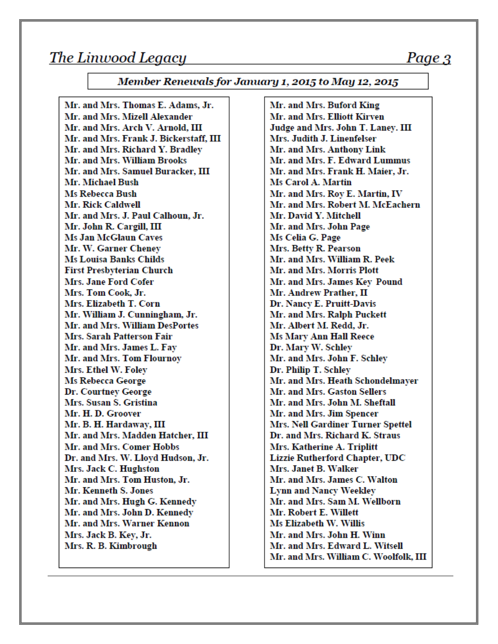#### Member Renewals for January 1, 2015 to May 12, 2015

Mr. and Mrs. Thomas E. Adams, Jr. Mr. and Mrs. Mizell Alexander Mr. and Mrs. Arch V. Arnold, III Mr. and Mrs. Frank J. Bickerstaff, III Mr. and Mrs. Richard Y. Bradlev Mr. and Mrs. William Brooks Mr. and Mrs. Samuel Buracker, III Mr. Michael Bush **Ms Rebecca Bush** Mr. Rick Caldwell Mr. and Mrs. J. Paul Calhoun, Jr. Mr. John R. Cargill, III **Ms Jan McGlaun Caves** Mr. W. Garner Chenev **Ms Louisa Banks Childs First Presbyterian Church** Mrs. Jane Ford Cofer Mrs. Tom Cook. Jr. Mrs. Elizabeth T. Corn Mr. William J. Cunningham, Jr. Mr. and Mrs. William DesPortes Mrs. Sarah Patterson Fair Mr. and Mrs. James L. Fay Mr. and Mrs. Tom Flournoy Mrs. Ethel W. Foley Ms Rebecca George Dr. Courtney George Mrs. Susan S. Gristina Mr. H. D. Groover Mr. B. H. Hardaway, III Mr. and Mrs. Madden Hatcher, III Mr. and Mrs. Comer Hobbs Dr. and Mrs. W. Lloyd Hudson, Jr. Mrs. Jack C. Hughston Mr. and Mrs. Tom Huston, Jr. Mr. Kenneth S. Jones Mr. and Mrs. Hugh G. Kennedy Mr. and Mrs. John D. Kennedy Mr. and Mrs. Warner Kennon Mrs. Jack B. Key, Jr. Mrs. R. B. Kimbrough

Mr. and Mrs. Buford King Mr. and Mrs. Elliott Kirven Judge and Mrs. John T. Laney. III Mrs. Judith J. Linenfelser Mr. and Mrs. Anthony Link Mr. and Mrs. F. Edward Lummus Mr. and Mrs. Frank H. Maier, Jr. Ms Carol A. Martin Mr. and Mrs. Roy E. Martin, IV Mr. and Mrs. Robert M. McEachern Mr. David Y. Mitchell Mr. and Mrs. John Page Ms Celia G. Page Mrs. Betty R. Pearson Mr. and Mrs. William R. Peek Mr. and Mrs. Morris Plott Mr. and Mrs. James Key Pound Mr. Andrew Prather, II Dr. Nancy E. Pruitt-Davis Mr. and Mrs. Ralph Puckett Mr. Albert M. Redd, Jr. Ms Mary Ann Hall Reece Dr. Mary W. Schley Mr. and Mrs. John F. Schley Dr. Philip T. Schley Mr. and Mrs. Heath Schondelmaver Mr. and Mrs. Gaston Sellers Mr. and Mrs. John M. Sheftall Mr. and Mrs. Jim Spencer Mrs. Nell Gardiner Turner Spettel Dr. and Mrs. Richard K. Straus Mrs. Katherine A. Triplitt **Lizzie Rutherford Chapter, UDC** Mrs. Janet B. Walker Mr. and Mrs. James C. Walton **Lynn and Nancy Weekley** Mr. and Mrs. Sam M. Wellborn Mr. Robert E. Willett Ms Elizabeth W. Willis Mr. and Mrs. John H. Winn Mr. and Mrs. Edward L. Witsell Mr. and Mrs. William C. Woolfolk, III

### Page 3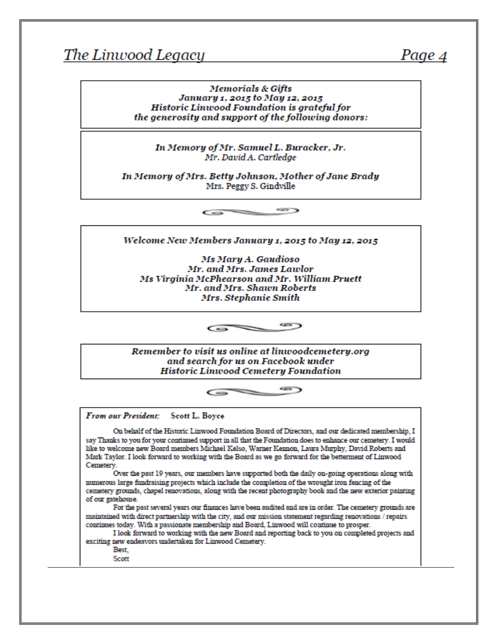## Page 4

#### **Memorials & Gifts** January 1, 2015 to May 12, 2015 **Historic Linwood Foundation is grateful for** the generosity and support of the following donors:

In Memory of Mr. Samuel L. Buracker, Jr. Mr. David A. Cartledge

In Memory of Mrs. Betty Johnson, Mother of Jane Brady Mrs. Peggy S. Gindville

> ⇔⊃  $\epsilon$

Welcome New Members January 1, 2015 to May 12, 2015

Ms Mary A. Gaudioso Mr. and Mrs. James Lawlor Ms Virginia McPhearson and Mr. William Pruett Mr. and Mrs. Shawn Roberts Mrs. Stephanie Smith

> $\bullet$  $\overline{\phantom{0}}$

Remember to visit us online at linwoodcemetery.org and search for us on Facebook under **Historic Linwood Cemetery Foundation** 



From our President: Scott L. Boyce

On behalf of the Historic Linwood Foundation Board of Directors, and our dedicated membership, I say Thanks to you for your continued support in all that the Foundation does to enhance our cemetery. I would like to welcome new Board members Michael Kelso, Warner Kennon, Laura Murphy, David Roberts and Mark Taylor. I look forward to working with the Board as we go forward for the betterment of Linwood Cemetery.

Over the past 19 years, our members have supported both the daily on-going operations along with numerous large fundraising projects which include the completion of the wrought iron fencing of the cemetery grounds, chapel renovations, along with the recent photography book and the new exterior painting of our gatehouse.

For the past several years our finances have been audited and are in order. The cemetery grounds are maintained with direct partnership with the city, and our mission statement regarding renovations / repairs continues today. With a passionate membership and Board, Linwood will continue to prosper.

I look forward to working with the new Board and reporting back to you on completed projects and exciting new endeavors undertaken for Linwood Cemetery.

Best,

Scott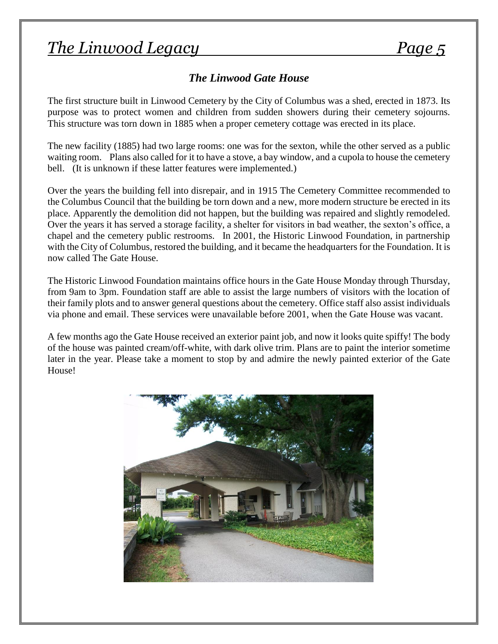# *The Linwood Legacy Page 5*

### *The Linwood Gate House*

The first structure built in Linwood Cemetery by the City of Columbus was a shed, erected in 1873. Its purpose was to protect women and children from sudden showers during their cemetery sojourns. This structure was torn down in 1885 when a proper cemetery cottage was erected in its place.

The new facility (1885) had two large rooms: one was for the sexton, while the other served as a public waiting room. Plans also called for it to have a stove, a bay window, and a cupola to house the cemetery bell. (It is unknown if these latter features were implemented.)

Over the years the building fell into disrepair, and in 1915 The Cemetery Committee recommended to the Columbus Council that the building be torn down and a new, more modern structure be erected in its place. Apparently the demolition did not happen, but the building was repaired and slightly remodeled. Over the years it has served a storage facility, a shelter for visitors in bad weather, the sexton's office, a chapel and the cemetery public restrooms. In 2001, the Historic Linwood Foundation, in partnership with the City of Columbus, restored the building, and it became the headquarters for the Foundation. It is now called The Gate House.

The Historic Linwood Foundation maintains office hours in the Gate House Monday through Thursday, from 9am to 3pm. Foundation staff are able to assist the large numbers of visitors with the location of their family plots and to answer general questions about the cemetery. Office staff also assist individuals via phone and email. These services were unavailable before 2001, when the Gate House was vacant.

A few months ago the Gate House received an exterior paint job, and now it looks quite spiffy! The body of the house was painted cream/off-white, with dark olive trim. Plans are to paint the interior sometime later in the year. Please take a moment to stop by and admire the newly painted exterior of the Gate House!

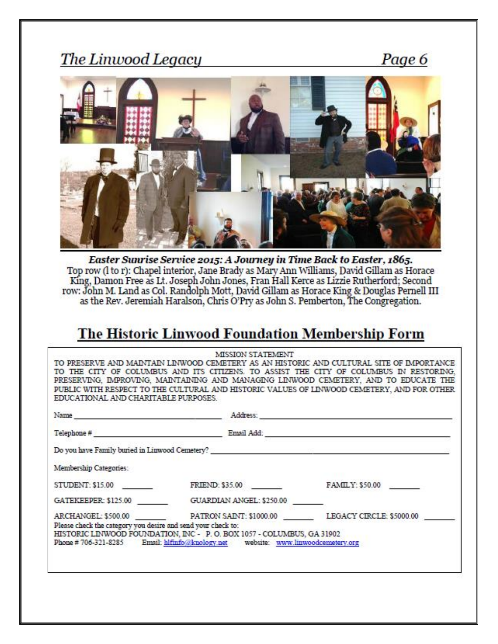Page 6



Easter Suurise Service 2015: A Journey in Time Back to Easter, 1865. Top row (I to r): Chapel interior, Jane Brady as Mary Ann Williams, David Gillam as Horace King, Damon Free as Lt. Joseph John Jones, Fran Hall Kerce as Lizzie Rutherford; Second row: John M. Land as Col. Randolph Mott, David Gillam as Horace King & Douglas Pernell III<br>as the Rev. Jeremiah Haralson, Chris O'Pry as John S. Pemberton, The Congregation.

## The Historic Linwood Foundation Membership Form

|                                                              | Do you have Family buried in Linwood Cemetery?                                                                                                           |                 |
|--------------------------------------------------------------|----------------------------------------------------------------------------------------------------------------------------------------------------------|-----------------|
| Membership Categories:                                       |                                                                                                                                                          |                 |
| STUDENT: \$15.00                                             | <b>FRIEND: \$35.00</b>                                                                                                                                   | FAMILY: \$50.00 |
|                                                              | GATEKEEPER: \$125.00 GUARDIAN ANGEL: \$250.00                                                                                                            |                 |
| Please check the category you desire and send your check to: | ARCHANGEL: \$500.00 PATRON SAINT: \$1000.00 LEGACY CIRCLE: \$5000.00                                                                                     |                 |
|                                                              | HISTORIC LINWOOD FOUNDATION, INC - P.O. BOX 1057 - COLUMBUS, GA 31902<br>Phone #706-321-8285 Email: hifinfo@knology.net website: www.linwoodcemetery.org |                 |